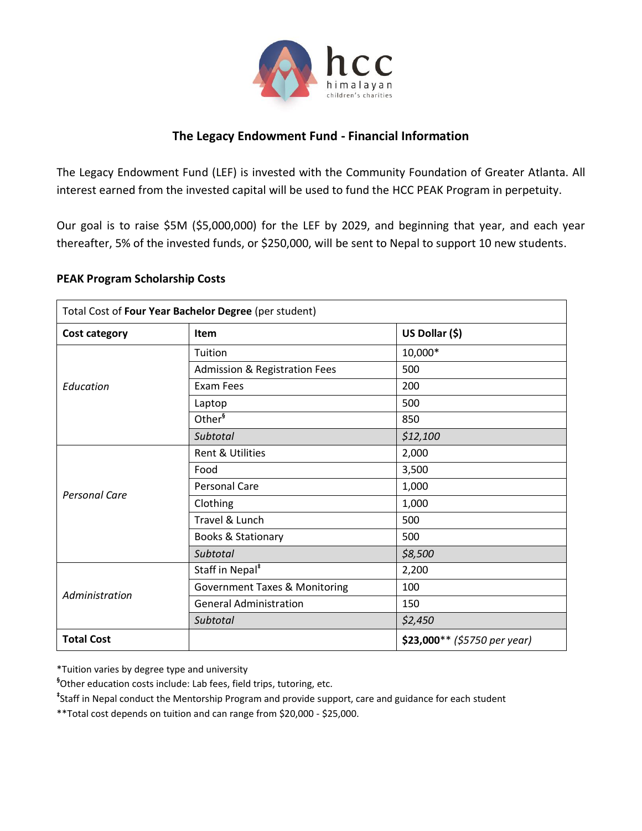

## **The Legacy Endowment Fund - Financial Information**

The Legacy Endowment Fund (LEF) is invested with the Community Foundation of Greater Atlanta. All interest earned from the invested capital will be used to fund the HCC PEAK Program in perpetuity.

Our goal is to raise \$5M (\$5,000,000) for the LEF by 2029, and beginning that year, and each year thereafter, 5% of the invested funds, or \$250,000, will be sent to Nepal to support 10 new students.

## **PEAK Program Scholarship Costs**

| Total Cost of Four Year Bachelor Degree (per student) |                                          |                              |
|-------------------------------------------------------|------------------------------------------|------------------------------|
| <b>Cost category</b>                                  | <b>Item</b>                              | US Dollar (\$)               |
| Education                                             | Tuition                                  | 10,000*                      |
|                                                       | <b>Admission &amp; Registration Fees</b> | 500                          |
|                                                       | Exam Fees                                | 200                          |
|                                                       | Laptop                                   | 500                          |
|                                                       | Other <sup>§</sup>                       | 850                          |
|                                                       | Subtotal                                 | \$12,100                     |
| <b>Personal Care</b>                                  | Rent & Utilities                         | 2,000                        |
|                                                       | Food                                     | 3,500                        |
|                                                       | <b>Personal Care</b>                     | 1,000                        |
|                                                       | Clothing                                 | 1,000                        |
|                                                       | Travel & Lunch                           | 500                          |
|                                                       | <b>Books &amp; Stationary</b>            | 500                          |
|                                                       | Subtotal                                 | \$8,500                      |
| Administration                                        | Staff in Nepal <sup>*</sup>              | 2,200                        |
|                                                       | <b>Government Taxes &amp; Monitoring</b> | 100                          |
|                                                       | <b>General Administration</b>            | 150                          |
|                                                       | Subtotal                                 | \$2,450                      |
| <b>Total Cost</b>                                     |                                          | \$23,000** (\$5750 per year) |

\*Tuition varies by degree type and university

**§** Other education costs include: Lab fees, field trips, tutoring, etc.

**‡** Staff in Nepal conduct the Mentorship Program and provide support, care and guidance for each student

\*\*Total cost depends on tuition and can range from \$20,000 - \$25,000.